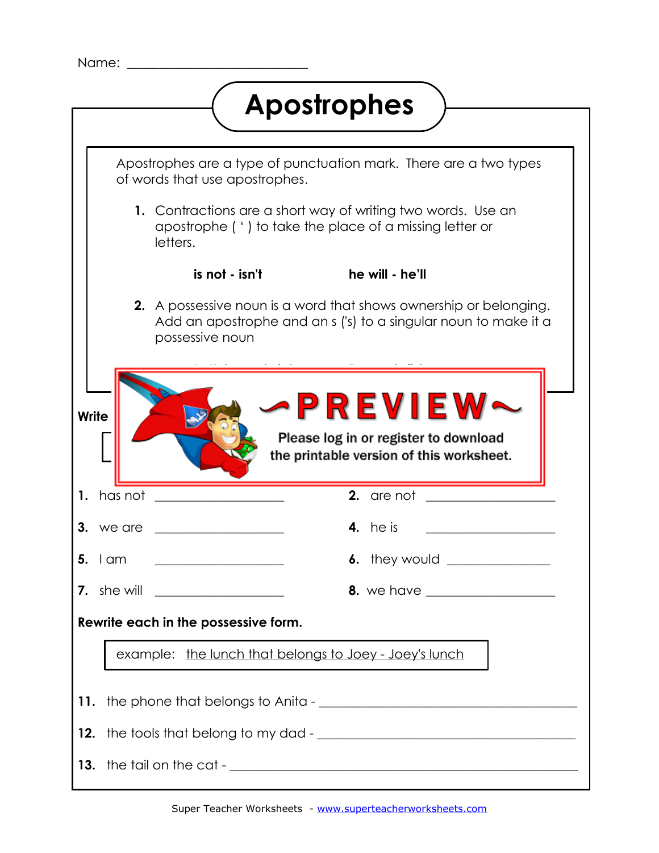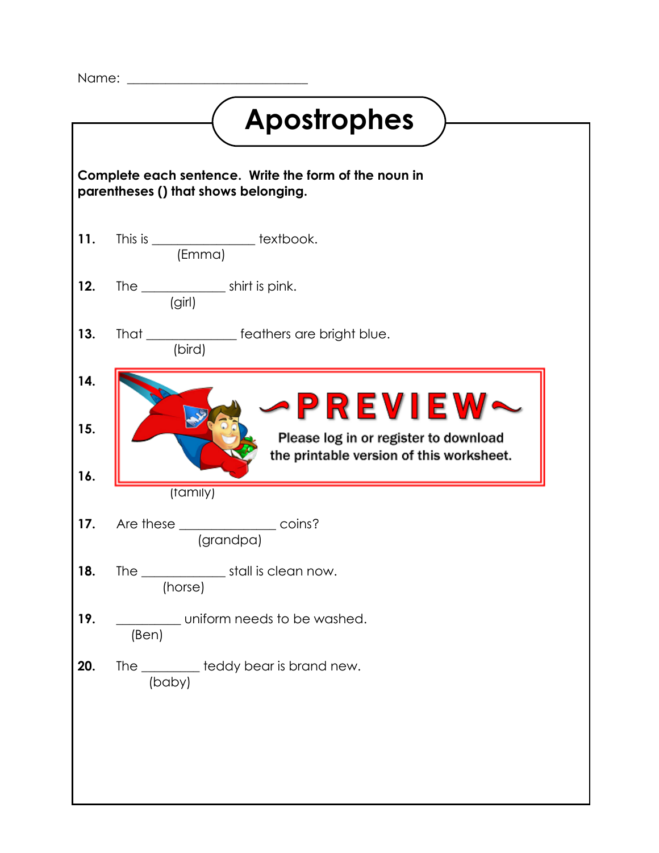Name:

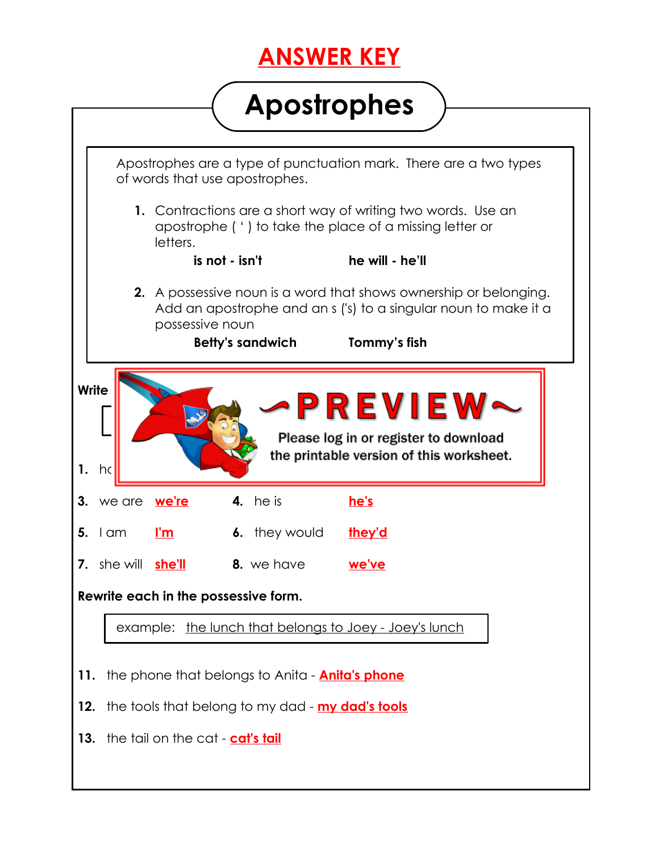## **ANSWER KEY**

## **Apostrophes**